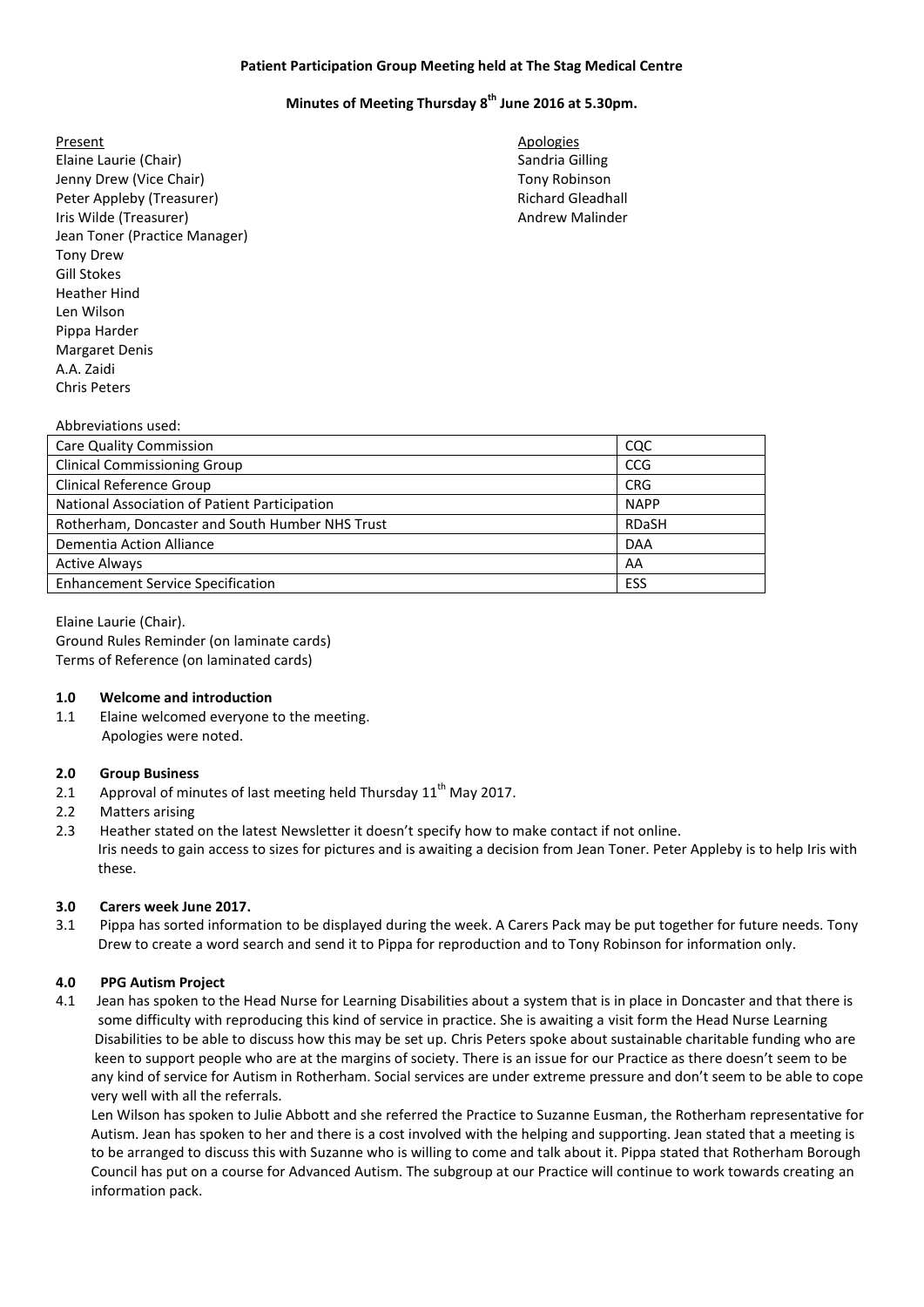## **Patient Participation Group Meeting held at The Stag Medical Centre**

# **Minutes of Meeting Thursday 8 th June 2016 at 5.30pm.**

- Present Apologies **Apologies** Elaine Laurie (Chair) Sandria Gilling and Sandria Gilling Sandria Gilling Jenny Drew (Vice Chair) **The Chair** Chair Chair Chair Chair Chair Chair Chair Chair Chair Chair Chair Chair Chair Peter Appleby (Treasurer) and the control of the Richard Gleadhall Richard Gleadhall Iris Wilde (Treasurer) Andrew Malinder Jean Toner (Practice Manager) Tony Drew Gill Stokes Heather Hind Len Wilson Pippa Harder Margaret Denis A.A. Zaidi Chris Peters
	-

#### Abbreviations used:

| <b>Care Quality Commission</b>                  | CQC          |
|-------------------------------------------------|--------------|
| <b>Clinical Commissioning Group</b>             | <b>CCG</b>   |
| <b>Clinical Reference Group</b>                 | <b>CRG</b>   |
| National Association of Patient Participation   | <b>NAPP</b>  |
| Rotherham, Doncaster and South Humber NHS Trust | <b>RDaSH</b> |
| Dementia Action Alliance                        | <b>DAA</b>   |
| <b>Active Always</b>                            | AA           |
| <b>Enhancement Service Specification</b>        | ESS          |

Elaine Laurie (Chair). Ground Rules Reminder (on laminate cards) Terms of Reference (on laminated cards)

#### **1.0 Welcome and introduction**

1.1 Elaine welcomed everyone to the meeting. Apologies were noted.

#### **2.0 Group Business**

- 2.1 Approval of minutes of last meeting held Thursday  $11<sup>th</sup>$  May 2017.
- 2.2 Matters arising
- 2.3 Heather stated on the latest Newsletter it doesn't specify how to make contact if not online. Iris needs to gain access to sizes for pictures and is awaiting a decision from Jean Toner. Peter Appleby is to help Iris with these.

#### **3.0 Carers week June 2017.**

3.1 Pippa has sorted information to be displayed during the week. A Carers Pack may be put together for future needs. Tony Drew to create a word search and send it to Pippa for reproduction and to Tony Robinson for information only.

# **4.0 PPG Autism Project**

4.1 Jean has spoken to the Head Nurse for Learning Disabilities about a system that is in place in Doncaster and that there is some difficulty with reproducing this kind of service in practice. She is awaiting a visit form the Head Nurse Learning Disabilities to be able to discuss how this may be set up. Chris Peters spoke about sustainable charitable funding who are keen to support people who are at the margins of society. There is an issue for our Practice as there doesn't seem to be any kind of service for Autism in Rotherham. Social services are under extreme pressure and don't seem to be able to cope very well with all the referrals.

 Len Wilson has spoken to Julie Abbott and she referred the Practice to Suzanne Eusman, the Rotherham representative for Autism. Jean has spoken to her and there is a cost involved with the helping and supporting. Jean stated that a meeting is to be arranged to discuss this with Suzanne who is willing to come and talk about it. Pippa stated that Rotherham Borough Council has put on a course for Advanced Autism. The subgroup at our Practice will continue to work towards creating an information pack.